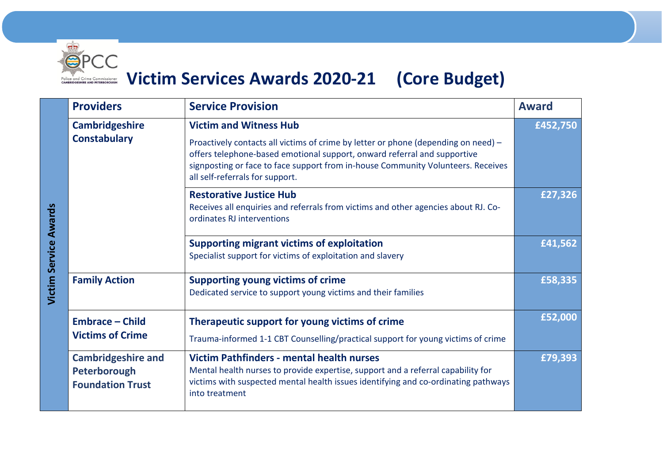

## **Excessor Connectionary Corporation Corporation Services Awards 2020-21 (Core Budget)**

|                              | <b>Providers</b>                                                     | <b>Service Provision</b>                                                                                                                                                                                                                                                              | <b>Award</b> |
|------------------------------|----------------------------------------------------------------------|---------------------------------------------------------------------------------------------------------------------------------------------------------------------------------------------------------------------------------------------------------------------------------------|--------------|
| <b>Victim Service Awards</b> | <b>Cambridgeshire</b>                                                | <b>Victim and Witness Hub</b>                                                                                                                                                                                                                                                         | £452,750     |
|                              | <b>Constabulary</b>                                                  | Proactively contacts all victims of crime by letter or phone (depending on need) -<br>offers telephone-based emotional support, onward referral and supportive<br>signposting or face to face support from in-house Community Volunteers. Receives<br>all self-referrals for support. |              |
|                              |                                                                      | <b>Restorative Justice Hub</b><br>Receives all enquiries and referrals from victims and other agencies about RJ. Co-<br>ordinates RJ interventions                                                                                                                                    | £27,326      |
|                              |                                                                      | <b>Supporting migrant victims of exploitation</b><br>Specialist support for victims of exploitation and slavery                                                                                                                                                                       | £41,562      |
|                              | <b>Family Action</b>                                                 | <b>Supporting young victims of crime</b><br>Dedicated service to support young victims and their families                                                                                                                                                                             | £58,335      |
|                              | <b>Embrace - Child</b><br><b>Victims of Crime</b>                    | Therapeutic support for young victims of crime                                                                                                                                                                                                                                        | £52,000      |
|                              |                                                                      | Trauma-informed 1-1 CBT Counselling/practical support for young victims of crime                                                                                                                                                                                                      |              |
|                              | <b>Cambridgeshire and</b><br>Peterborough<br><b>Foundation Trust</b> | <b>Victim Pathfinders - mental health nurses</b><br>Mental health nurses to provide expertise, support and a referral capability for<br>victims with suspected mental health issues identifying and co-ordinating pathways<br>into treatment                                          | £79,393      |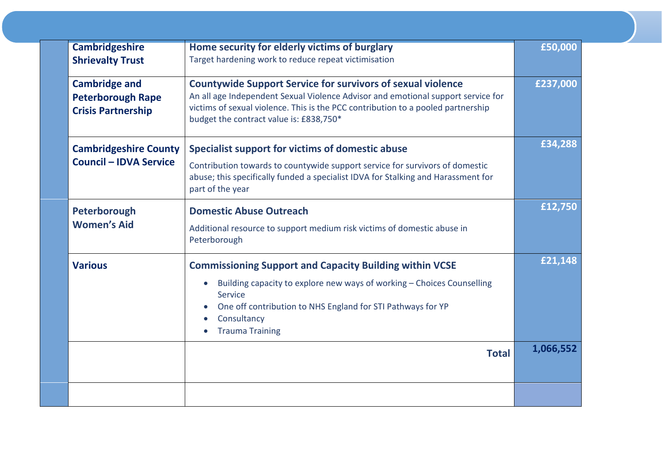| <b>Cambridgeshire</b>                                                         | Home security for elderly victims of burglary                                                                                                                                                                                                                                         | £50,000   |
|-------------------------------------------------------------------------------|---------------------------------------------------------------------------------------------------------------------------------------------------------------------------------------------------------------------------------------------------------------------------------------|-----------|
| <b>Shrievalty Trust</b>                                                       | Target hardening work to reduce repeat victimisation                                                                                                                                                                                                                                  |           |
| <b>Cambridge and</b><br><b>Peterborough Rape</b><br><b>Crisis Partnership</b> | <b>Countywide Support Service for survivors of sexual violence</b><br>An all age Independent Sexual Violence Advisor and emotional support service for<br>victims of sexual violence. This is the PCC contribution to a pooled partnership<br>budget the contract value is: £838,750* | £237,000  |
| <b>Cambridgeshire County</b><br><b>Council - IDVA Service</b>                 | Specialist support for victims of domestic abuse<br>Contribution towards to countywide support service for survivors of domestic<br>abuse; this specifically funded a specialist IDVA for Stalking and Harassment for<br>part of the year                                             | £34,288   |
| Peterborough<br><b>Women's Aid</b>                                            | <b>Domestic Abuse Outreach</b><br>Additional resource to support medium risk victims of domestic abuse in<br>Peterborough                                                                                                                                                             | £12,750   |
| <b>Various</b>                                                                | <b>Commissioning Support and Capacity Building within VCSE</b><br>Building capacity to explore new ways of working - Choices Counselling<br>Service<br>One off contribution to NHS England for STI Pathways for YP<br>Consultancy<br><b>Trauma Training</b><br>$\bullet$              | £21,148   |
|                                                                               | <b>Total</b>                                                                                                                                                                                                                                                                          | 1,066,552 |
|                                                                               |                                                                                                                                                                                                                                                                                       |           |